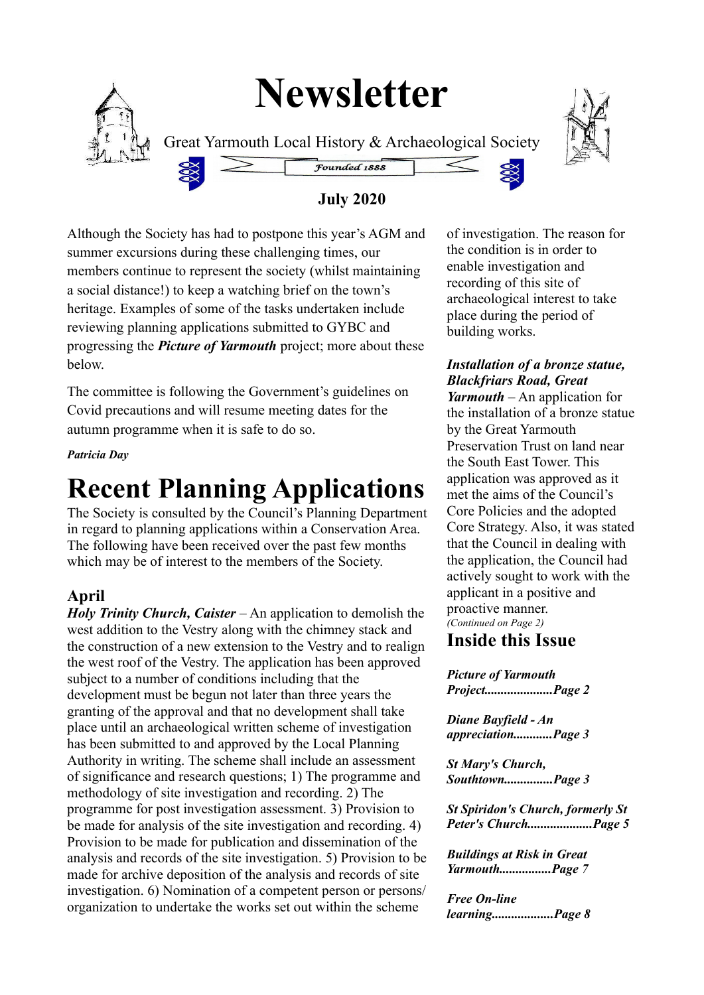# **Newsletter**



Great Yarmouth Local History & Archaeological Society



#### **July 2020**

Founded 1888

Although the Society has had to postpone this year's AGM and summer excursions during these challenging times, our members continue to represent the society (whilst maintaining a social distance!) to keep a watching brief on the town's heritage. Examples of some of the tasks undertaken include reviewing planning applications submitted to GYBC and progressing the *Picture of Yarmouth* project; more about these below.

The committee is following the Government's guidelines on Covid precautions and will resume meeting dates for the autumn programme when it is safe to do so.

*Patricia Day*

## **Recent Planning Applications**

The Society is consulted by the Council's Planning Department in regard to planning applications within a Conservation Area. The following have been received over the past few months which may be of interest to the members of the Society.

#### **April**

*Holy Trinity Church, Caister* – An application to demolish the west addition to the Vestry along with the chimney stack and the construction of a new extension to the Vestry and to realign the west roof of the Vestry. The application has been approved subject to a number of conditions including that the development must be begun not later than three years the granting of the approval and that no development shall take place until an archaeological written scheme of investigation has been submitted to and approved by the Local Planning Authority in writing. The scheme shall include an assessment of significance and research questions; 1) The programme and methodology of site investigation and recording. 2) The programme for post investigation assessment. 3) Provision to be made for analysis of the site investigation and recording. 4) Provision to be made for publication and dissemination of the analysis and records of the site investigation. 5) Provision to be made for archive deposition of the analysis and records of site investigation. 6) Nomination of a competent person or persons/ organization to undertake the works set out within the scheme

of investigation. The reason for the condition is in order to enable investigation and recording of this site of archaeological interest to take place during the period of building works.

*Installation of a bronze statue, Blackfriars Road, Great Yarmouth* – An application for the installation of a bronze statue by the Great Yarmouth Preservation Trust on land near the South East Tower. This application was approved as it met the aims of the Council's Core Policies and the adopted Core Strategy. Also, it was stated that the Council in dealing with the application, the Council had actively sought to work with the applicant in a positive and proactive manner. *(Continued on Page 2)*

#### **Inside this Issue**

*Picture of Yarmouth Project.....................Page 2*

*Diane Bayfield - An appreciation............Page 3*

*St Mary's Church, Southtown...............Page 3*

*St Spiridon's Church, formerly St Peter's Church....................Page 5* 

*Buildings at Risk in Great Yarmouth................Page 7*

*Free On-line learning...................Page 8*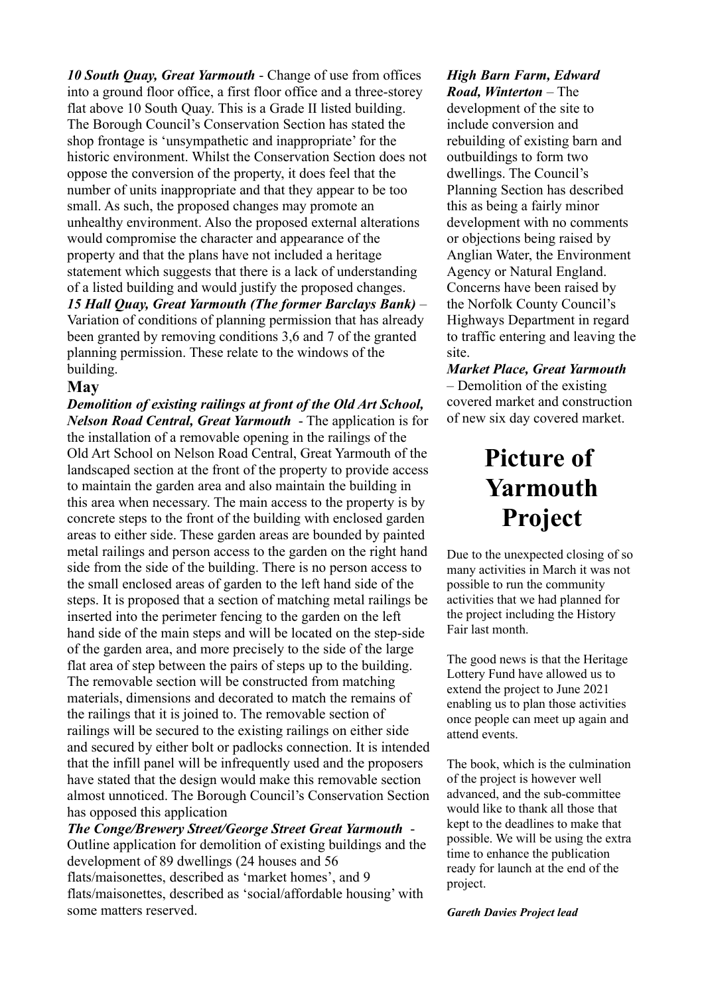*10 South Quay, Great Yarmouth* - Change of use from offices into a ground floor office, a first floor office and a three-storey flat above 10 South Quay. This is a Grade II listed building. The Borough Council's Conservation Section has stated the shop frontage is 'unsympathetic and inappropriate' for the historic environment. Whilst the Conservation Section does not oppose the conversion of the property, it does feel that the number of units inappropriate and that they appear to be too small. As such, the proposed changes may promote an unhealthy environment. Also the proposed external alterations would compromise the character and appearance of the property and that the plans have not included a heritage statement which suggests that there is a lack of understanding of a listed building and would justify the proposed changes. *15 Hall Quay, Great Yarmouth (The former Barclays Bank)* – Variation of conditions of planning permission that has already been granted by removing conditions 3,6 and 7 of the granted planning permission. These relate to the windows of the building.

#### **May**

*Demolition of existing railings at front of the Old Art School, Nelson Road Central, Great Yarmouth* - The application is for the installation of a removable opening in the railings of the Old Art School on Nelson Road Central, Great Yarmouth of the landscaped section at the front of the property to provide access to maintain the garden area and also maintain the building in this area when necessary. The main access to the property is by concrete steps to the front of the building with enclosed garden areas to either side. These garden areas are bounded by painted metal railings and person access to the garden on the right hand side from the side of the building. There is no person access to the small enclosed areas of garden to the left hand side of the steps. It is proposed that a section of matching metal railings be inserted into the perimeter fencing to the garden on the left hand side of the main steps and will be located on the step-side of the garden area, and more precisely to the side of the large flat area of step between the pairs of steps up to the building. The removable section will be constructed from matching materials, dimensions and decorated to match the remains of the railings that it is joined to. The removable section of railings will be secured to the existing railings on either side and secured by either bolt or padlocks connection. It is intended that the infill panel will be infrequently used and the proposers have stated that the design would make this removable section almost unnoticed. The Borough Council's Conservation Section has opposed this application

*The Conge/Brewery Street/George Street Great Yarmouth* - Outline application for demolition of existing buildings and the development of 89 dwellings (24 houses and 56 flats/maisonettes, described as 'market homes', and 9 flats/maisonettes, described as 'social/affordable housing' with some matters reserved.

#### *High Barn Farm, Edward Road, Winterton* – The

development of the site to include conversion and rebuilding of existing barn and outbuildings to form two dwellings. The Council's Planning Section has described this as being a fairly minor development with no comments or objections being raised by Anglian Water, the Environment Agency or Natural England. Concerns have been raised by the Norfolk County Council's Highways Department in regard to traffic entering and leaving the site.

*Market Place, Great Yarmouth*  – Demolition of the existing covered market and construction of new six day covered market.

### **Picture of Yarmouth Project**

Due to the unexpected closing of so many activities in March it was not possible to run the community activities that we had planned for the project including the History Fair last month.

The good news is that the Heritage Lottery Fund have allowed us to extend the project to June 2021 enabling us to plan those activities once people can meet up again and attend events.

The book, which is the culmination of the project is however well advanced, and the sub-committee would like to thank all those that kept to the deadlines to make that possible. We will be using the extra time to enhance the publication ready for launch at the end of the project.

#### *Gareth Davies Project lead*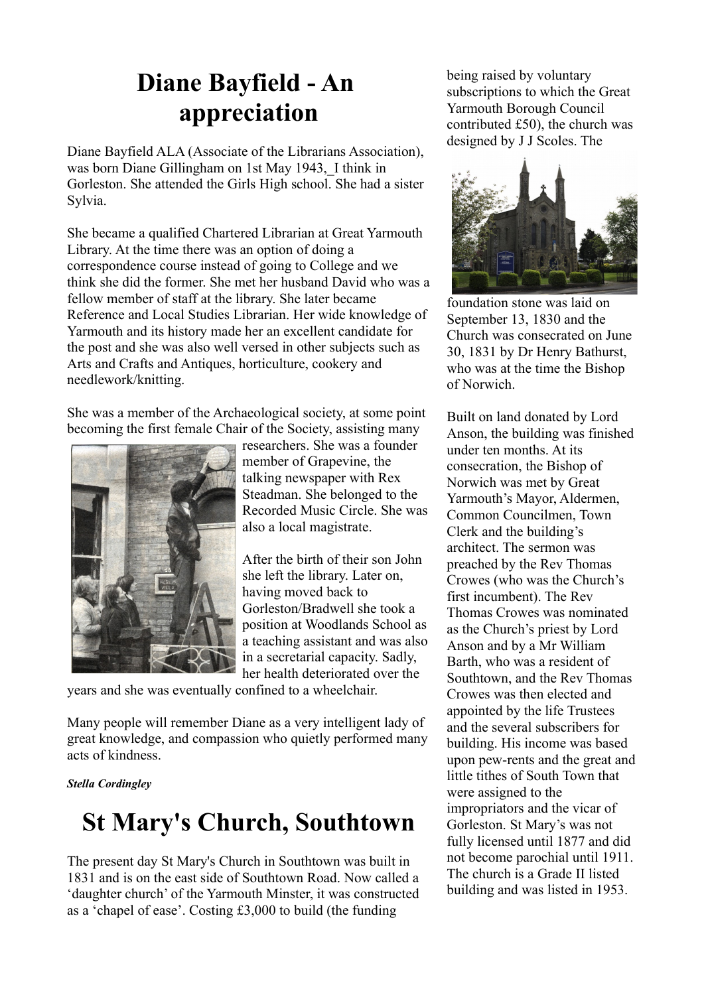### **Diane Bayfield - An appreciation**

Diane Bayfield ALA (Associate of the Librarians Association), was born Diane Gillingham on 1st May 1943, I think in Gorleston. She attended the Girls High school. She had a sister Sylvia.

She became a qualified Chartered Librarian at Great Yarmouth Library. At the time there was an option of doing a correspondence course instead of going to College and we think she did the former. She met her husband David who was a fellow member of staff at the library. She later became Reference and Local Studies Librarian. Her wide knowledge of Yarmouth and its history made her an excellent candidate for the post and she was also well versed in other subjects such as Arts and Crafts and Antiques, horticulture, cookery and needlework/knitting.

She was a member of the Archaeological society, at some point becoming the first female Chair of the Society, assisting many



researchers. She was a founder member of Grapevine, the talking newspaper with Rex Steadman. She belonged to the Recorded Music Circle. She was also a local magistrate.

After the birth of their son John she left the library. Later on, having moved back to Gorleston/Bradwell she took a position at Woodlands School as a teaching assistant and was also in a secretarial capacity. Sadly, her health deteriorated over the

years and she was eventually confined to a wheelchair.

Many people will remember Diane as a very intelligent lady of great knowledge, and compassion who quietly performed many acts of kindness.

*Stella Cordingley*

### **St Mary's Church, Southtown**

The present day St Mary's Church in Southtown was built in 1831 and is on the east side of Southtown Road. Now called a 'daughter church' of the Yarmouth Minster, it was constructed as a 'chapel of ease'. Costing £3,000 to build (the funding

being raised by voluntary subscriptions to which the Great Yarmouth Borough Council contributed £50), the church was designed by J J Scoles. The



foundation stone was laid on September 13, 1830 and the Church was consecrated on June 30, 1831 by Dr Henry Bathurst, who was at the time the Bishop of Norwich.

Built on land donated by Lord Anson, the building was finished under ten months. At its consecration, the Bishop of Norwich was met by Great Yarmouth's Mayor, Aldermen, Common Councilmen, Town Clerk and the building's architect. The sermon was preached by the Rev Thomas Crowes (who was the Church's first incumbent). The Rev Thomas Crowes was nominated as the Church's priest by Lord Anson and by a Mr William Barth, who was a resident of Southtown, and the Rev Thomas Crowes was then elected and appointed by the life Trustees and the several subscribers for building. His income was based upon pew-rents and the great and little tithes of South Town that were assigned to the impropriators and the vicar of Gorleston. St Mary's was not fully licensed until 1877 and did not become parochial until 1911. The church is a Grade II listed building and was listed in 1953.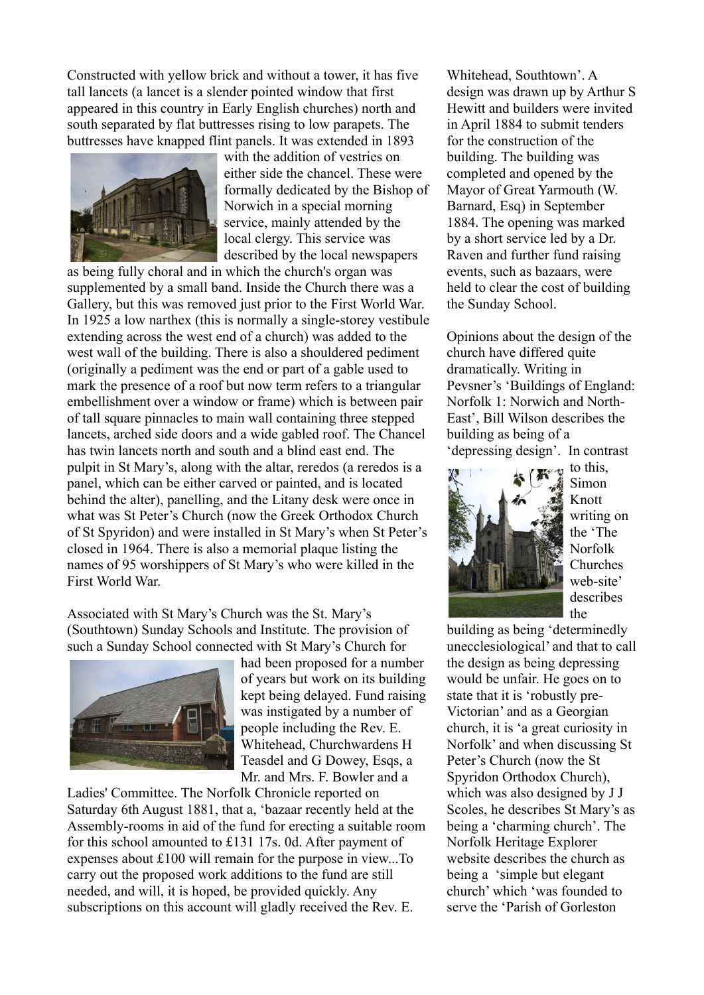Constructed with yellow brick and without a tower, it has five tall lancets (a lancet is a slender pointed window that first appeared in this country in Early English churches) north and south separated by flat buttresses rising to low parapets. The buttresses have knapped flint panels. It was extended in 1893



with the addition of vestries on either side the chancel. These were formally dedicated by the Bishop of Norwich in a special morning service, mainly attended by the local clergy. This service was described by the local newspapers

as being fully choral and in which the church's organ was supplemented by a small band. Inside the Church there was a Gallery, but this was removed just prior to the First World War. In 1925 a low narthex (this is normally a single-storey vestibule extending across the west end of a church) was added to the west wall of the building. There is also a shouldered pediment (originally a pediment was the end or part of a gable used to mark the presence of a roof but now term refers to a triangular embellishment over a window or frame) which is between pair of tall square pinnacles to main wall containing three stepped lancets, arched side doors and a wide gabled roof. The Chancel has twin lancets north and south and a blind east end. The pulpit in St Mary's, along with the altar, reredos (a reredos is a panel, which can be either carved or painted, and is located behind the alter), panelling, and the Litany desk were once in what was St Peter's Church (now the Greek Orthodox Church of St Spyridon) and were installed in St Mary's when St Peter's closed in 1964. There is also a memorial plaque listing the names of 95 worshippers of St Mary's who were killed in the First World War.

Associated with St Mary's Church was the St. Mary's (Southtown) Sunday Schools and Institute. The provision of such a Sunday School connected with St Mary's Church for



had been proposed for a number of years but work on its building kept being delayed. Fund raising was instigated by a number of people including the Rev. E. Whitehead, Churchwardens H Teasdel and G Dowey, Esqs, a Mr. and Mrs. F. Bowler and a

Ladies' Committee. The Norfolk Chronicle reported on Saturday 6th August 1881, that a, 'bazaar recently held at the Assembly-rooms in aid of the fund for erecting a suitable room for this school amounted to £131 17s. 0d. After payment of expenses about £100 will remain for the purpose in view...To carry out the proposed work additions to the fund are still needed, and will, it is hoped, be provided quickly. Any subscriptions on this account will gladly received the Rev. E.

Whitehead, Southtown'. A design was drawn up by Arthur S Hewitt and builders were invited in April 1884 to submit tenders for the construction of the building. The building was completed and opened by the Mayor of Great Yarmouth (W. Barnard, Esq) in September 1884. The opening was marked by a short service led by a Dr. Raven and further fund raising events, such as bazaars, were held to clear the cost of building the Sunday School.

Opinions about the design of the church have differed quite dramatically. Writing in Pevsner's 'Buildings of England: Norfolk 1: Norwich and North-East', Bill Wilson describes the building as being of a

'depressing design'. In contrast



 $\mathbf{t}$  to this, Simon Knott writing on the 'The Norfolk Churches web-site' describes the

building as being 'determinedly unecclesiological' and that to call the design as being depressing would be unfair. He goes on to state that it is 'robustly pre-Victorian' and as a Georgian church, it is 'a great curiosity in Norfolk' and when discussing St Peter's Church (now the St Spyridon Orthodox Church), which was also designed by J J Scoles, he describes St Mary's as being a 'charming church'. The Norfolk Heritage Explorer website describes the church as being a 'simple but elegant church' which 'was founded to serve the 'Parish of Gorleston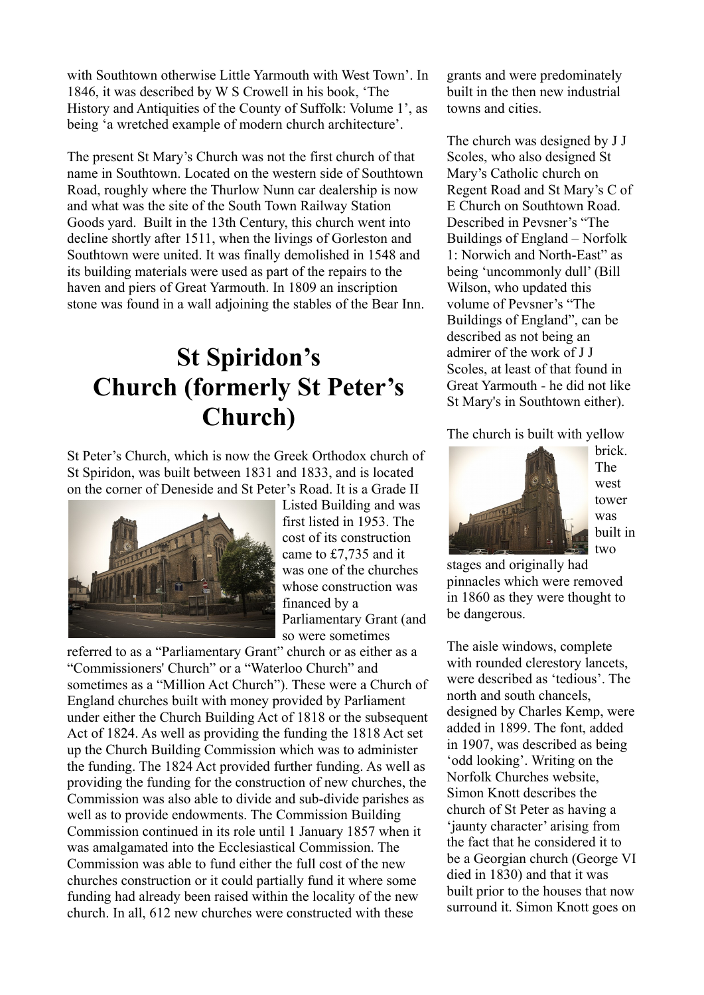with Southtown otherwise Little Yarmouth with West Town'. In 1846, it was described by W S Crowell in his book, 'The History and Antiquities of the County of Suffolk: Volume 1', as being 'a wretched example of modern church architecture'.

The present St Mary's Church was not the first church of that name in Southtown. Located on the western side of Southtown Road, roughly where the Thurlow Nunn car dealership is now and what was the site of the South Town Railway Station Goods yard. Built in the 13th Century, this church went into decline shortly after 1511, when the livings of Gorleston and Southtown were united. It was finally demolished in 1548 and its building materials were used as part of the repairs to the haven and piers of Great Yarmouth. In 1809 an inscription stone was found in a wall adjoining the stables of the Bear Inn.

### **St Spiridon's Church (formerly St Peter's Church)**

St Peter's Church, which is now the Greek Orthodox church of St Spiridon, was built between 1831 and 1833, and is located on the corner of Deneside and St Peter's Road. It is a Grade II



Listed Building and was first listed in 1953. The cost of its construction came to £7,735 and it was one of the churches whose construction was financed by a Parliamentary Grant (and so were sometimes

referred to as a "Parliamentary Grant" church or as either as a "Commissioners' Church" or a "Waterloo Church" and sometimes as a "Million Act Church"). These were a Church of England churches built with money provided by Parliament under either the Church Building Act of 1818 or the subsequent Act of 1824. As well as providing the funding the 1818 Act set up the Church Building Commission which was to administer the funding. The 1824 Act provided further funding. As well as providing the funding for the construction of new churches, the Commission was also able to divide and sub-divide parishes as well as to provide endowments. The Commission Building Commission continued in its role until 1 January 1857 when it was amalgamated into the Ecclesiastical Commission. The Commission was able to fund either the full cost of the new churches construction or it could partially fund it where some funding had already been raised within the locality of the new church. In all, 612 new churches were constructed with these

grants and were predominately built in the then new industrial towns and cities.

The church was designed by J J Scoles, who also designed St Mary's Catholic church on Regent Road and St Mary's C of E Church on Southtown Road. Described in Pevsner's "The Buildings of England – Norfolk 1: Norwich and North-East" as being 'uncommonly dull' (Bill Wilson, who updated this volume of Pevsner's "The Buildings of England", can be described as not being an admirer of the work of J J Scoles, at least of that found in Great Yarmouth - he did not like St Mary's in Southtown either).

The church is built with yellow



brick. The west tower was built in two

stages and originally had pinnacles which were removed in 1860 as they were thought to be dangerous.

The aisle windows, complete with rounded clerestory lancets. were described as 'tedious'. The north and south chancels, designed by Charles Kemp, were added in 1899. The font, added in 1907, was described as being 'odd looking'. Writing on the Norfolk Churches website, Simon Knott describes the church of St Peter as having a 'jaunty character' arising from the fact that he considered it to be a Georgian church (George VI died in 1830) and that it was built prior to the houses that now surround it. Simon Knott goes on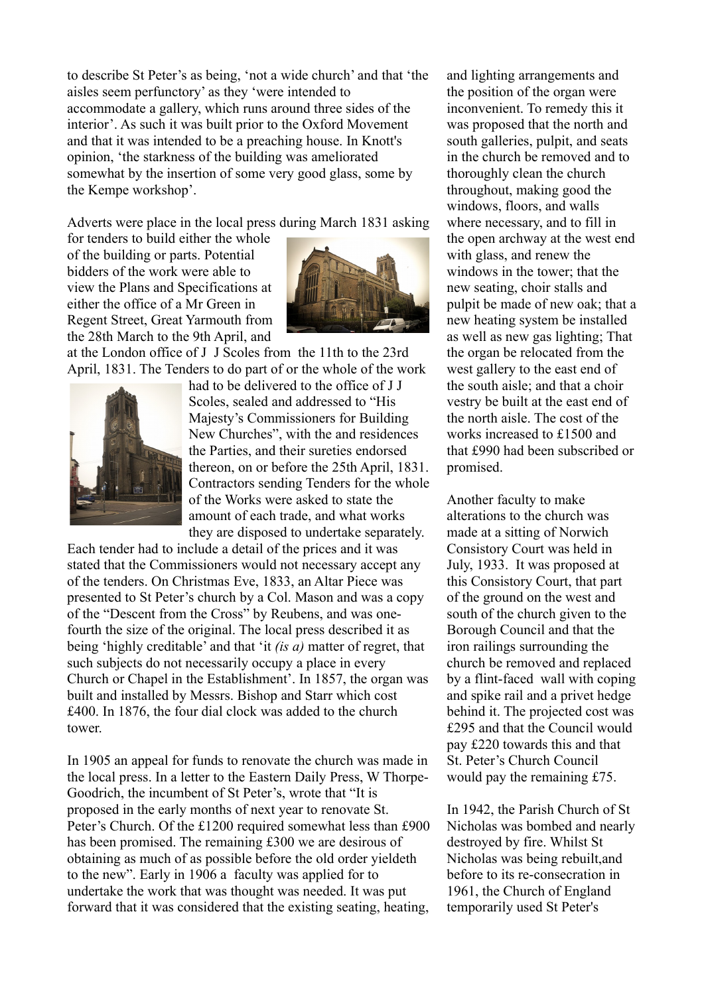to describe St Peter's as being, 'not a wide church' and that 'the aisles seem perfunctory' as they 'were intended to accommodate a gallery, which runs around three sides of the interior'. As such it was built prior to the Oxford Movement and that it was intended to be a preaching house. In Knott's opinion, 'the starkness of the building was ameliorated somewhat by the insertion of some very good glass, some by the Kempe workshop'.

Adverts were place in the local press during March 1831 asking

for tenders to build either the whole of the building or parts. Potential bidders of the work were able to view the Plans and Specifications at either the office of a Mr Green in Regent Street, Great Yarmouth from the 28th March to the 9th April, and



at the London office of J J Scoles from the 11th to the 23rd April, 1831. The Tenders to do part of or the whole of the work



had to be delivered to the office of J J Scoles, sealed and addressed to "His Majesty's Commissioners for Building New Churches", with the and residences the Parties, and their sureties endorsed thereon, on or before the 25th April, 1831. Contractors sending Tenders for the whole of the Works were asked to state the amount of each trade, and what works they are disposed to undertake separately.

Each tender had to include a detail of the prices and it was stated that the Commissioners would not necessary accept any of the tenders. On Christmas Eve, 1833, an Altar Piece was presented to St Peter's church by a Col. Mason and was a copy of the "Descent from the Cross" by Reubens, and was onefourth the size of the original. The local press described it as being 'highly creditable' and that 'it *(is a)* matter of regret, that such subjects do not necessarily occupy a place in every Church or Chapel in the Establishment'. In 1857, the organ was built and installed by Messrs. Bishop and Starr which cost £400. In 1876, the four dial clock was added to the church tower.

In 1905 an appeal for funds to renovate the church was made in the local press. In a letter to the Eastern Daily Press, W Thorpe-Goodrich, the incumbent of St Peter's, wrote that "It is proposed in the early months of next year to renovate St. Peter's Church. Of the £1200 required somewhat less than £900 has been promised. The remaining £300 we are desirous of obtaining as much of as possible before the old order yieldeth to the new". Early in 1906 a faculty was applied for to undertake the work that was thought was needed. It was put forward that it was considered that the existing seating, heating, and lighting arrangements and the position of the organ were inconvenient. To remedy this it was proposed that the north and south galleries, pulpit, and seats in the church be removed and to thoroughly clean the church throughout, making good the windows, floors, and walls where necessary, and to fill in the open archway at the west end with glass, and renew the windows in the tower; that the new seating, choir stalls and pulpit be made of new oak; that a new heating system be installed as well as new gas lighting; That the organ be relocated from the west gallery to the east end of the south aisle; and that a choir vestry be built at the east end of the north aisle. The cost of the works increased to £1500 and that £990 had been subscribed or promised.

Another faculty to make alterations to the church was made at a sitting of Norwich Consistory Court was held in July, 1933. It was proposed at this Consistory Court, that part of the ground on the west and south of the church given to the Borough Council and that the iron railings surrounding the church be removed and replaced by a flint-faced wall with coping and spike rail and a privet hedge behind it. The projected cost was £295 and that the Council would pay £220 towards this and that St. Peter's Church Council would pay the remaining £75.

In 1942, the Parish Church of St Nicholas was bombed and nearly destroyed by fire. Whilst St Nicholas was being rebuilt,and before to its re-consecration in 1961, the Church of England temporarily used St Peter's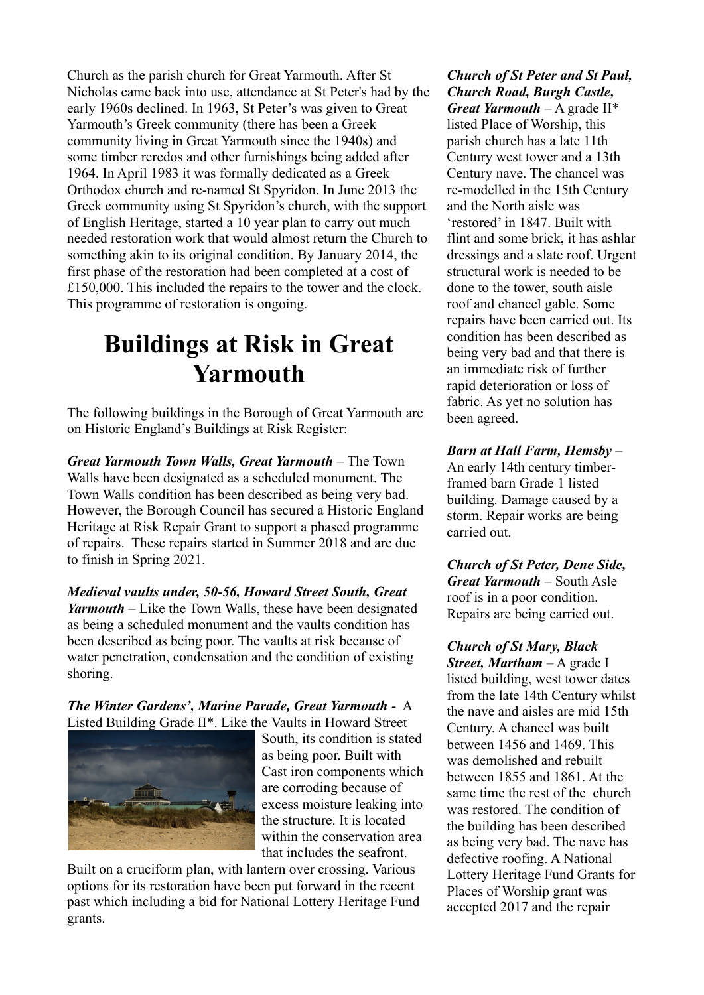Church as the parish church for Great Yarmouth. After St Nicholas came back into use, attendance at St Peter's had by the early 1960s declined. In 1963, St Peter's was given to Great Yarmouth's Greek community (there has been a Greek community living in Great Yarmouth since the 1940s) and some timber reredos and other furnishings being added after 1964. In April 1983 it was formally dedicated as a Greek Orthodox church and re-named St Spyridon. In June 2013 the Greek community using St Spyridon's church, with the support of English Heritage, started a 10 year plan to carry out much needed restoration work that would almost return the Church to something akin to its original condition. By January 2014, the first phase of the restoration had been completed at a cost of £150,000. This included the repairs to the tower and the clock. This programme of restoration is ongoing.

### **Buildings at Risk in Great Yarmouth**

The following buildings in the Borough of Great Yarmouth are on Historic England's Buildings at Risk Register:

*Great Yarmouth Town Walls, Great Yarmouth* – The Town Walls have been designated as a scheduled monument. The Town Walls condition has been described as being very bad. However, the Borough Council has secured a Historic England Heritage at Risk Repair Grant to support a phased programme of repairs. These repairs started in Summer 2018 and are due to finish in Spring 2021.

*Medieval vaults under, 50-56, Howard Street South, Great Yarmouth* – Like the Town Walls, these have been designated as being a scheduled monument and the vaults condition has been described as being poor. The vaults at risk because of water penetration, condensation and the condition of existing shoring.

*The Winter Gardens', Marine Parade, Great Yarmouth* - A Listed Building Grade II\*. Like the Vaults in Howard Street



South, its condition is stated as being poor. Built with Cast iron components which are corroding because of excess moisture leaking into the structure. It is located within the conservation area that includes the seafront.

Built on a cruciform plan, with lantern over crossing. Various options for its restoration have been put forward in the recent past which including a bid for National Lottery Heritage Fund grants.

*Church of St Peter and St Paul, Church Road, Burgh Castle, Great Yarmouth* – A grade II\* listed Place of Worship, this parish church has a late 11th Century west tower and a 13th Century nave. The chancel was re-modelled in the 15th Century and the North aisle was 'restored' in 1847. Built with flint and some brick, it has ashlar dressings and a slate roof. Urgent structural work is needed to be done to the tower, south aisle roof and chancel gable. Some repairs have been carried out. Its condition has been described as being very bad and that there is an immediate risk of further rapid deterioration or loss of fabric. As yet no solution has been agreed.

*Barn at Hall Farm, Hemsby* – An early 14th century timberframed barn Grade 1 listed building. Damage caused by a storm. Repair works are being carried out.

*Church of St Peter, Dene Side, Great Yarmouth* – South Asle roof is in a poor condition. Repairs are being carried out.

*Church of St Mary, Black Street, Martham* – A grade I listed building, west tower dates from the late 14th Century whilst the nave and aisles are mid 15th Century. A chancel was built between 1456 and 1469. This was demolished and rebuilt between 1855 and 1861. At the same time the rest of the church was restored. The condition of the building has been described as being very bad. The nave has defective roofing. A National Lottery Heritage Fund Grants for Places of Worship grant was accepted 2017 and the repair